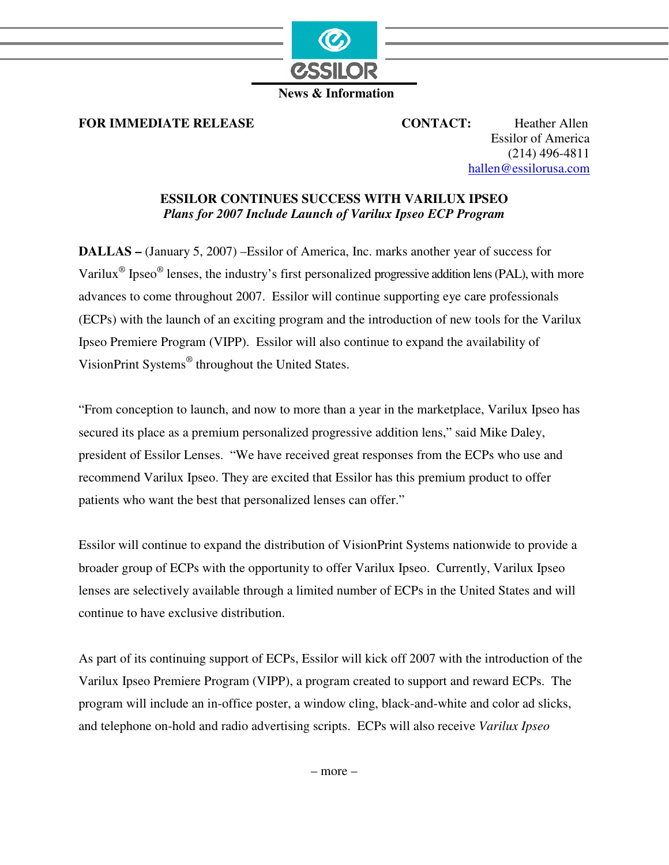

 **News & Information** 

**FOR IMMEDIATE RELEASE CONTACT:** Heather Allen

Essilor of America (214) 496-4811 hallen@essilorusa.com

## **ESSILOR CONTINUES SUCCESS WITH VARILUX IPSEO**  *Plans for 2007 Include Launch of Varilux Ipseo ECP Program*

**DALLAS –** (January 5, 2007) –Essilor of America, Inc. marks another year of success for Varilux<sup>®</sup> Ipseo<sup>®</sup> lenses, the industry's first personalized progressive addition lens (PAL), with more advances to come throughout 2007. Essilor will continue supporting eye care professionals (ECPs) with the launch of an exciting program and the introduction of new tools for the Varilux Ipseo Premiere Program (VIPP). Essilor will also continue to expand the availability of VisionPrint Systems® throughout the United States.

"From conception to launch, and now to more than a year in the marketplace, Varilux Ipseo has secured its place as a premium personalized progressive addition lens," said Mike Daley, president of Essilor Lenses. "We have received great responses from the ECPs who use and recommend Varilux Ipseo. They are excited that Essilor has this premium product to offer patients who want the best that personalized lenses can offer."

Essilor will continue to expand the distribution of VisionPrint Systems nationwide to provide a broader group of ECPs with the opportunity to offer Varilux Ipseo. Currently, Varilux Ipseo lenses are selectively available through a limited number of ECPs in the United States and will continue to have exclusive distribution.

As part of its continuing support of ECPs, Essilor will kick off 2007 with the introduction of the Varilux Ipseo Premiere Program (VIPP), a program created to support and reward ECPs. The program will include an in-office poster, a window cling, black-and-white and color ad slicks, and telephone on-hold and radio advertising scripts. ECPs will also receive *Varilux Ipseo*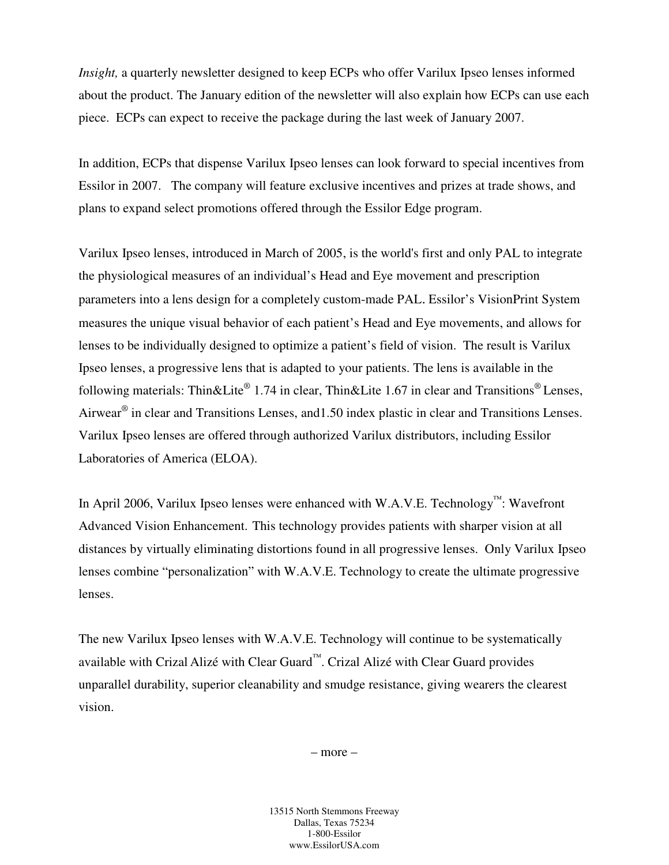*Insight,* a quarterly newsletter designed to keep ECPs who offer Varilux Ipseo lenses informed about the product. The January edition of the newsletter will also explain how ECPs can use each piece. ECPs can expect to receive the package during the last week of January 2007.

In addition, ECPs that dispense Varilux Ipseo lenses can look forward to special incentives from Essilor in 2007. The company will feature exclusive incentives and prizes at trade shows, and plans to expand select promotions offered through the Essilor Edge program.

Varilux Ipseo lenses, introduced in March of 2005, is the world's first and only PAL to integrate the physiological measures of an individual's Head and Eye movement and prescription parameters into a lens design for a completely custom-made PAL Essilor's VisionPrint System measures the unique visual behavior of each patient's Head and Eye movements, and allows for lenses to be individually designed to optimize a patient's field of vision. The result is Varilux Ipseo lenses, a progressive lens that is adapted to your patients. The lens is available in the following materials: Thin&Lite® 1.74 in clear, Thin&Lite 1.67 in clear and Transitions® Lenses, Airwear<sup>®</sup> in clear and Transitions Lenses, and 1.50 index plastic in clear and Transitions Lenses. Varilux Ipseo lenses are offered through authorized Varilux distributors, including Essilor Laboratories of America (ELOA).

In April 2006, Varilux Ipseo lenses were enhanced with W.A.V.E. Technology™: Wavefront Advanced Vision Enhancement. This technology provides patients with sharper vision at all distances by virtually eliminating distortions found in all progressive lenses. Only Varilux Ipseo lenses combine "personalization" with W.A.V.E. Technology to create the ultimate progressive lenses.

The new Varilux Ipseo lenses with W.A.V.E. Technology will continue to be systematically available with Crizal Alizé with Clear Guard™. Crizal Alizé with Clear Guard provides unparallel durability, superior cleanability and smudge resistance, giving wearers the clearest vision.

– more –

13515 North Stemmons Freeway Dallas, Texas 75234 1-800-Essilor www.EssilorUSA.com